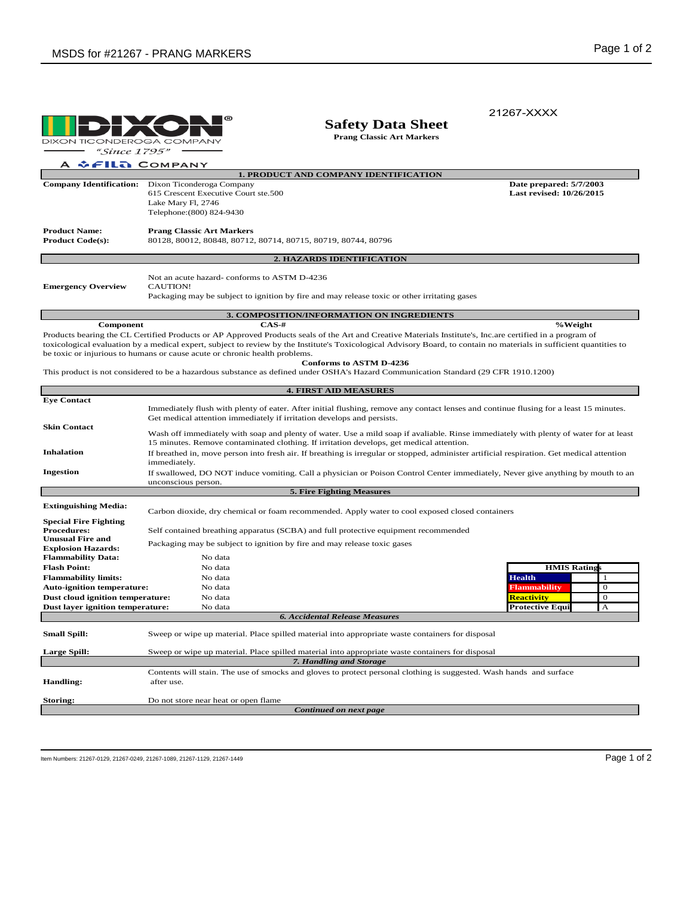|                                                                      |                                                                                                                                                                                                                                   |                                                                                                                                                                                                                                                                                                                                    | 21267-XXXX                                                                                                                                                           |  |  |
|----------------------------------------------------------------------|-----------------------------------------------------------------------------------------------------------------------------------------------------------------------------------------------------------------------------------|------------------------------------------------------------------------------------------------------------------------------------------------------------------------------------------------------------------------------------------------------------------------------------------------------------------------------------|----------------------------------------------------------------------------------------------------------------------------------------------------------------------|--|--|
| DIXON TICONDEROGA COMPANY                                            |                                                                                                                                                                                                                                   | <b>Safety Data Sheet</b><br><b>Prang Classic Art Markers</b>                                                                                                                                                                                                                                                                       |                                                                                                                                                                      |  |  |
| "Since 1795"                                                         |                                                                                                                                                                                                                                   |                                                                                                                                                                                                                                                                                                                                    |                                                                                                                                                                      |  |  |
| <b><i>GEILA COMPANY</i></b>                                          |                                                                                                                                                                                                                                   |                                                                                                                                                                                                                                                                                                                                    |                                                                                                                                                                      |  |  |
|                                                                      |                                                                                                                                                                                                                                   | 1. PRODUCT AND COMPANY IDENTIFICATION                                                                                                                                                                                                                                                                                              |                                                                                                                                                                      |  |  |
| <b>Company Identification:</b>                                       | Dixon Ticonderoga Company<br>615 Crescent Executive Court ste.500<br>Lake Mary Fl, 2746<br>Telephone: (800) 824-9430                                                                                                              |                                                                                                                                                                                                                                                                                                                                    | Date prepared: 5/7/2003<br>Last revised: 10/26/2015                                                                                                                  |  |  |
| <b>Product Name:</b><br><b>Product Code(s):</b>                      | <b>Prang Classic Art Markers</b><br>80128, 80012, 80848, 80712, 80714, 80715, 80719, 80744, 80796                                                                                                                                 |                                                                                                                                                                                                                                                                                                                                    |                                                                                                                                                                      |  |  |
|                                                                      |                                                                                                                                                                                                                                   | 2. HAZARDS IDENTIFICATION                                                                                                                                                                                                                                                                                                          |                                                                                                                                                                      |  |  |
| <b>Emergency Overview</b>                                            | Not an acute hazard-conforms to ASTM D-4236<br><b>CAUTION!</b><br>Packaging may be subject to ignition by fire and may release toxic or other irritating gases                                                                    |                                                                                                                                                                                                                                                                                                                                    |                                                                                                                                                                      |  |  |
|                                                                      |                                                                                                                                                                                                                                   | 3. COMPOSITION/INFORMATION ON INGREDIENTS                                                                                                                                                                                                                                                                                          |                                                                                                                                                                      |  |  |
| Component                                                            |                                                                                                                                                                                                                                   | $CAS-#$                                                                                                                                                                                                                                                                                                                            | %Weight                                                                                                                                                              |  |  |
|                                                                      | be toxic or injurious to humans or cause acute or chronic health problems.                                                                                                                                                        | Products bearing the CL Certified Products or AP Approved Products seals of the Art and Creative Materials Institute's, Inc.are certified in a program of<br><b>Conforms to ASTM D-4236</b><br>This product is not considered to be a hazardous substance as defined under OSHA's Hazard Communication Standard (29 CFR 1910.1200) | toxicological evaluation by a medical expert, subject to review by the Institute's Toxicological Advisory Board, to contain no materials in sufficient quantities to |  |  |
|                                                                      |                                                                                                                                                                                                                                   | <b>4. FIRST AID MEASURES</b>                                                                                                                                                                                                                                                                                                       |                                                                                                                                                                      |  |  |
| <b>Eye Contact</b>                                                   |                                                                                                                                                                                                                                   |                                                                                                                                                                                                                                                                                                                                    |                                                                                                                                                                      |  |  |
|                                                                      | Immediately flush with plenty of eater. After initial flushing, remove any contact lenses and continue flusing for a least 15 minutes.<br>Get medical attention immediately if irritation develops and persists.                  |                                                                                                                                                                                                                                                                                                                                    |                                                                                                                                                                      |  |  |
| <b>Skin Contact</b>                                                  | Wash off immediately with soap and plenty of water. Use a mild soap if avaliable. Rinse immediately with plenty of water for at least<br>15 minutes. Remove contaminated clothing. If irritation develops, get medical attention. |                                                                                                                                                                                                                                                                                                                                    |                                                                                                                                                                      |  |  |
| <b>Inhalation</b>                                                    | If breathed in, move person into fresh air. If breathing is irregular or stopped, administer artificial respiration. Get medical attention<br>immediately.                                                                        |                                                                                                                                                                                                                                                                                                                                    |                                                                                                                                                                      |  |  |
| <b>Ingestion</b>                                                     | If swallowed, DO NOT induce vomiting. Call a physician or Poison Control Center immediately, Never give anything by mouth to an<br>unconscious person.                                                                            |                                                                                                                                                                                                                                                                                                                                    |                                                                                                                                                                      |  |  |
|                                                                      |                                                                                                                                                                                                                                   | <b>5. Fire Fighting Measures</b>                                                                                                                                                                                                                                                                                                   |                                                                                                                                                                      |  |  |
| <b>Extinguishing Media:</b>                                          |                                                                                                                                                                                                                                   | Carbon dioxide, dry chemical or foam recommended. Apply water to cool exposed closed containers                                                                                                                                                                                                                                    |                                                                                                                                                                      |  |  |
| <b>Special Fire Fighting</b><br><b>Procedures:</b>                   | Self contained breathing apparatus (SCBA) and full protective equipment recommended                                                                                                                                               |                                                                                                                                                                                                                                                                                                                                    |                                                                                                                                                                      |  |  |
| <b>Unusual Fire and</b><br><b>Explosion Hazards:</b>                 | Packaging may be subject to ignition by fire and may release toxic gases                                                                                                                                                          |                                                                                                                                                                                                                                                                                                                                    |                                                                                                                                                                      |  |  |
| <b>Flammability Data:</b>                                            | No data                                                                                                                                                                                                                           |                                                                                                                                                                                                                                                                                                                                    |                                                                                                                                                                      |  |  |
| <b>Flash Point:</b>                                                  | No data                                                                                                                                                                                                                           |                                                                                                                                                                                                                                                                                                                                    | <b>HMIS Rating</b>                                                                                                                                                   |  |  |
| <b>Flammability limits:</b>                                          | No data                                                                                                                                                                                                                           |                                                                                                                                                                                                                                                                                                                                    | <b>Health</b><br>-1                                                                                                                                                  |  |  |
| <b>Auto-ignition temperature:</b>                                    | No data                                                                                                                                                                                                                           |                                                                                                                                                                                                                                                                                                                                    | Flammability<br>$\theta$                                                                                                                                             |  |  |
| Dust cloud ignition temperature:<br>Dust layer ignition temperature: | No data<br>No data                                                                                                                                                                                                                |                                                                                                                                                                                                                                                                                                                                    | $\mathbf{0}$<br><b>Reactivity</b><br><b>Protective Equi</b><br>A                                                                                                     |  |  |
|                                                                      |                                                                                                                                                                                                                                   | <b>6. Accidental Release Measures</b>                                                                                                                                                                                                                                                                                              |                                                                                                                                                                      |  |  |
| <b>Small Spill:</b>                                                  |                                                                                                                                                                                                                                   | Sweep or wipe up material. Place spilled material into appropriate waste containers for disposal                                                                                                                                                                                                                                   |                                                                                                                                                                      |  |  |
| <b>Large Spill:</b>                                                  |                                                                                                                                                                                                                                   | Sweep or wipe up material. Place spilled material into appropriate waste containers for disposal<br>7. Handling and Storage                                                                                                                                                                                                        |                                                                                                                                                                      |  |  |
|                                                                      |                                                                                                                                                                                                                                   | Contents will stain. The use of smocks and gloves to protect personal clothing is suggested. Wash hands and surface                                                                                                                                                                                                                |                                                                                                                                                                      |  |  |
| <b>Handling:</b>                                                     | after use.                                                                                                                                                                                                                        |                                                                                                                                                                                                                                                                                                                                    |                                                                                                                                                                      |  |  |

**Storing:** Do not store near heat or open flame

*Continued on next page*

Item Numbers: 21267-0129, 21267-0249, 21267-1089, 21267-1129, 21267-1449